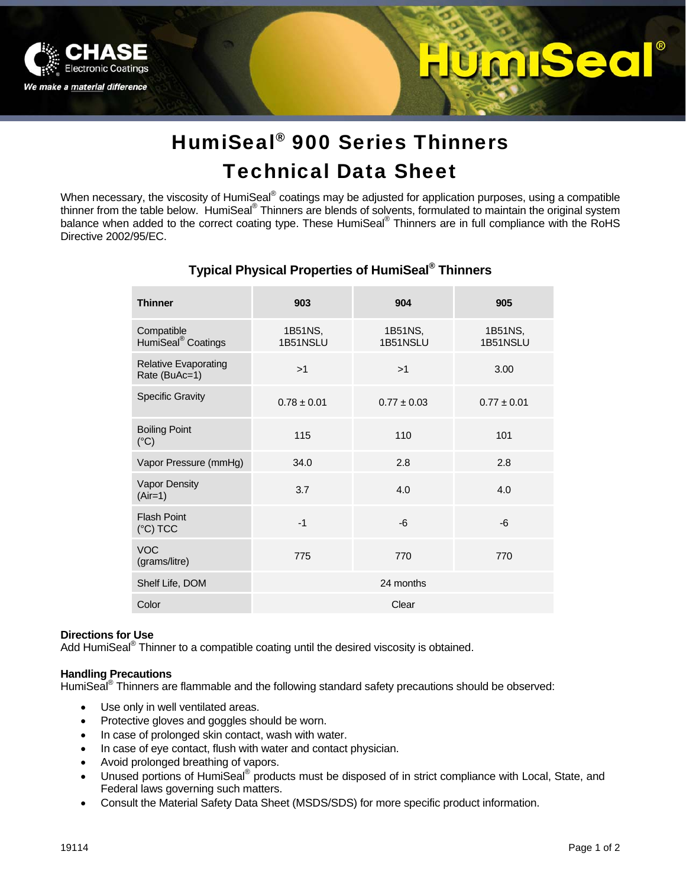

# **MISec**

## HumiSeal® 900 Series Thinners Technical Data Sheet

When necessary, the viscosity of HumiSeal® coatings may be adjusted for application purposes, using a compatible thinner from the table below. HumiSeal® Thinners are blends of solvents, formulated to maintain the original system balance when added to the correct coating type. These HumiSeal® Thinners are in full compliance with the RoHS Directive 2002/95/EC.

| <b>Thinner</b>                               | 903                 | 904                 | 905                 |
|----------------------------------------------|---------------------|---------------------|---------------------|
| Compatible<br>HumiSeal <sup>®</sup> Coatings | 1B51NS,<br>1B51NSLU | 1B51NS,<br>1B51NSLU | 1B51NS,<br>1B51NSLU |
| <b>Relative Evaporating</b><br>Rate (BuAc=1) | >1                  | >1                  | 3.00                |
| <b>Specific Gravity</b>                      | $0.78 \pm 0.01$     | $0.77 \pm 0.03$     | $0.77 \pm 0.01$     |
| <b>Boiling Point</b><br>$(^{\circ}C)$        | 115                 | 110                 | 101                 |
| Vapor Pressure (mmHg)                        | 34.0                | 2.8                 | 2.8                 |
| <b>Vapor Density</b><br>$(Air=1)$            | 3.7                 | 4.0                 | 4.0                 |
| <b>Flash Point</b><br>$(^{\circ}C)$ TCC      | $-1$                | $-6$                | -6                  |
| <b>VOC</b><br>(grams/litre)                  | 775                 | 770                 | 770                 |
| Shelf Life, DOM                              | 24 months           |                     |                     |
| Color                                        | Clear               |                     |                     |

## **Typical Physical Properties of HumiSeal® Thinners**

## **Directions for Use**

Add HumiSeal® Thinner to a compatible coating until the desired viscosity is obtained.

## **Handling Precautions**

HumiSeal<sup>®</sup> Thinners are flammable and the following standard safety precautions should be observed:

- Use only in well ventilated areas.
- Protective gloves and goggles should be worn.
- In case of prolonged skin contact, wash with water.
- In case of eye contact, flush with water and contact physician.
- Avoid prolonged breathing of vapors.
- Unused portions of HumiSeal® products must be disposed of in strict compliance with Local, State, and Federal laws governing such matters.
- Consult the Material Safety Data Sheet (MSDS/SDS) for more specific product information.